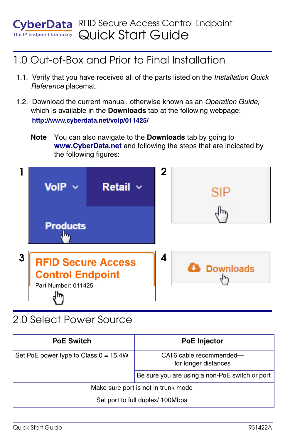#### RFID Secure Access Control Endpoint **EvberData** Endpoint Company Quick Start Guide

### 1.0 Out-of-Box and Prior to Final Installation

- 1.1. Verify that you have received all of the parts listed on the *Installation Quick Reference* placemat.
- 1.2. Download the current manual, otherwise known as an *Operation Guide*, which is available in the **Downloads** tab at the following webpage: **<http://www.cyberdata.net/voip/011425/>**
	- **Note** You can also navigate to the **Downloads** tab by going to **<www.CyberData.net>** and following the steps that are indicated by the following figures:



## 2.0 Select Power Source

| <b>PoE Switch</b>                       | <b>PoE Injector</b>                             |
|-----------------------------------------|-------------------------------------------------|
| Set PoE power type to Class $0 = 15.4W$ | CAT6 cable recommended-<br>for longer distances |
|                                         | Be sure you are using a non-PoE switch or port  |
| Make sure port is not in trunk mode     |                                                 |
| Set port to full duplex/ 100Mbps        |                                                 |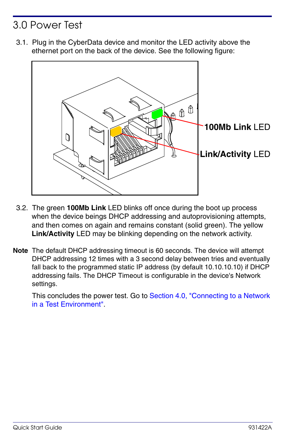## 3.0 Power Test

3.1. Plug in the CyberData device and monitor the LED activity above the ethernet port on the back of the device. See the following figure:



- 3.2. The green **100Mb Link** LED blinks off once during the boot up process when the device beings DHCP addressing and autoprovisioning attempts, and then comes on again and remains constant (solid green). The yellow **Link/Activity** LED may be blinking depending on the network activity.
- **Note** The default DHCP addressing timeout is 60 seconds. The device will attempt DHCP addressing 12 times with a 3 second delay between tries and eventually fall back to the programmed static IP address (by default 10.10.10.10) if DHCP addressing fails. The DHCP Timeout is configurable in the device's Network settings.

This concludes the power test. Go to Section 4.0, "Connecting to a Network [in a Test Environment".](#page-2-0)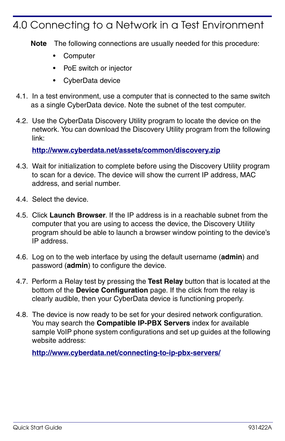#### <span id="page-2-0"></span>4.0 Connecting to a Network in a Test Environment

**Note** The following connections are usually needed for this procedure:

- **Computer**
- PoE switch or injector
- CyberData device
- 4.1. In a test environment, use a computer that is connected to the same switch as a single CyberData device. Note the subnet of the test computer.
- 4.2. Use the CyberData Discovery Utility program to locate the device on the network. You can download the Discovery Utility program from the following link:

**<http://www.cyberdata.net/assets/common/discovery.zip>**

- 4.3. Wait for initialization to complete before using the Discovery Utility program to scan for a device. The device will show the current IP address, MAC address, and serial number.
- 4.4. Select the device.
- 4.5. Click **Launch Browser**. If the IP address is in a reachable subnet from the computer that you are using to access the device, the Discovery Utility program should be able to launch a browser window pointing to the device's IP address.
- 4.6. Log on to the web interface by using the default username (**admin**) and password (**admin**) to configure the device.
- 4.7. Perform a Relay test by pressing the **Test Relay** button that is located at the bottom of the **Device Configuration** page. If the click from the relay is clearly audible, then your CyberData device is functioning properly.
- 4.8. The device is now ready to be set for your desired network configuration. You may search the **Compatible IP-PBX Servers** index for available sample VoIP phone system configurations and set up guides at the following website address:

**<http://www.cyberdata.net/connecting-to-ip-pbx-servers/>**